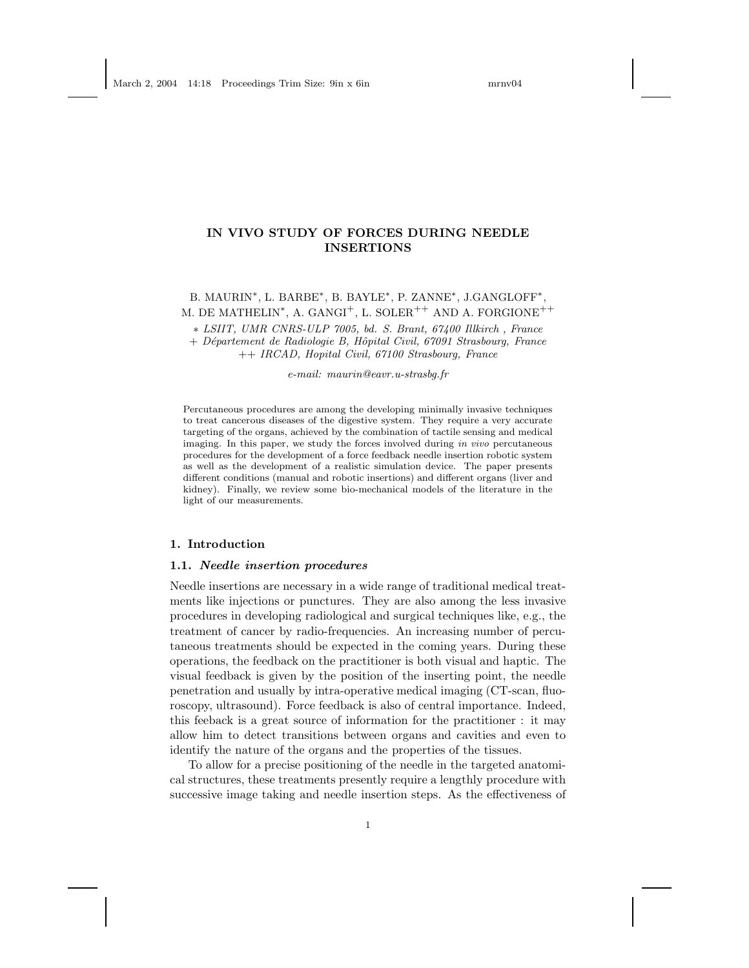# IN VIVO STUDY OF FORCES DURING NEEDLE INSERTIONS

B. MAURIN<sup>\*</sup>, L. BARBE<sup>\*</sup>, B. BAYLE<sup>\*</sup>, P. ZANNE<sup>\*</sup>, J.GANGLOFF<sup>\*</sup>, M. DE MATHELIN\*, A. GANGI<sup>+</sup>, L. SOLER<sup>++</sup> AND A. FORGIONE<sup>++</sup>

∗ LSIIT, UMR CNRS-ULP 7005, bd. S. Brant, 67400 Illkirch , France

+ D´epartement de Radiologie B, Hˆopital Civil, 67091 Strasbourg, France ++ IRCAD, Hopital Civil, 67100 Strasbourg, France

e-mail: maurin@eavr.u-strasbg.fr

Percutaneous procedures are among the developing minimally invasive techniques to treat cancerous diseases of the digestive system. They require a very accurate targeting of the organs, achieved by the combination of tactile sensing and medical imaging. In this paper, we study the forces involved during in vivo percutaneous procedures for the development of a force feedback needle insertion robotic system as well as the development of a realistic simulation device. The paper presents different conditions (manual and robotic insertions) and different organs (liver and kidney). Finally, we review some bio-mechanical models of the literature in the light of our measurements.

# 1. Introduction

## 1.1. Needle insertion procedures

Needle insertions are necessary in a wide range of traditional medical treatments like injections or punctures. They are also among the less invasive procedures in developing radiological and surgical techniques like, e.g., the treatment of cancer by radio-frequencies. An increasing number of percutaneous treatments should be expected in the coming years. During these operations, the feedback on the practitioner is both visual and haptic. The visual feedback is given by the position of the inserting point, the needle penetration and usually by intra-operative medical imaging (CT-scan, fluoroscopy, ultrasound). Force feedback is also of central importance. Indeed, this feeback is a great source of information for the practitioner : it may allow him to detect transitions between organs and cavities and even to identify the nature of the organs and the properties of the tissues.

To allow for a precise positioning of the needle in the targeted anatomical structures, these treatments presently require a lengthly procedure with successive image taking and needle insertion steps. As the effectiveness of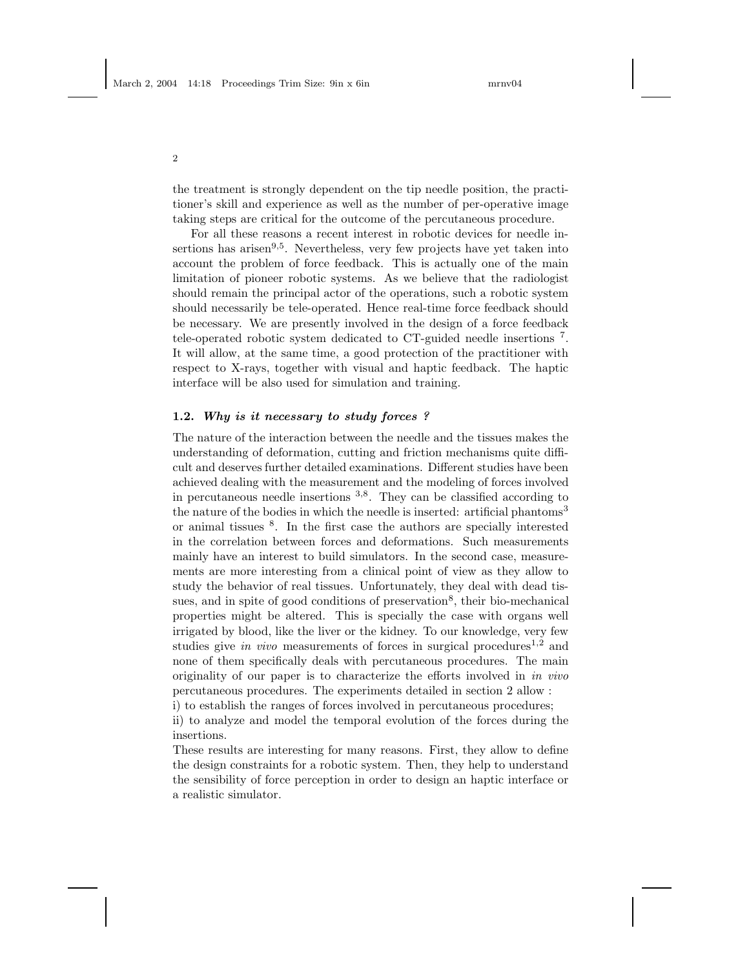the treatment is strongly dependent on the tip needle position, the practitioner's skill and experience as well as the number of per-operative image taking steps are critical for the outcome of the percutaneous procedure.

For all these reasons a recent interest in robotic devices for needle insertions has arisen<sup>9,5</sup>. Nevertheless, very few projects have yet taken into account the problem of force feedback. This is actually one of the main limitation of pioneer robotic systems. As we believe that the radiologist should remain the principal actor of the operations, such a robotic system should necessarily be tele-operated. Hence real-time force feedback should be necessary. We are presently involved in the design of a force feedback tele-operated robotic system dedicated to CT-guided needle insertions <sup>7</sup> . It will allow, at the same time, a good protection of the practitioner with respect to X-rays, together with visual and haptic feedback. The haptic interface will be also used for simulation and training.

# 1.2. Why is it necessary to study forces ?

The nature of the interaction between the needle and the tissues makes the understanding of deformation, cutting and friction mechanisms quite difficult and deserves further detailed examinations. Different studies have been achieved dealing with the measurement and the modeling of forces involved in percutaneous needle insertions <sup>3</sup>,<sup>8</sup> . They can be classified according to the nature of the bodies in which the needle is inserted: artificial phantoms<sup>3</sup> or animal tissues <sup>8</sup> . In the first case the authors are specially interested in the correlation between forces and deformations. Such measurements mainly have an interest to build simulators. In the second case, measurements are more interesting from a clinical point of view as they allow to study the behavior of real tissues. Unfortunately, they deal with dead tissues, and in spite of good conditions of preservation<sup>8</sup>, their bio-mechanical properties might be altered. This is specially the case with organs well irrigated by blood, like the liver or the kidney. To our knowledge, very few studies give in vivo measurements of forces in surgical procedures<sup>1,2</sup> and none of them specifically deals with percutaneous procedures. The main originality of our paper is to characterize the efforts involved in in vivo percutaneous procedures. The experiments detailed in section 2 allow :

i) to establish the ranges of forces involved in percutaneous procedures; ii) to analyze and model the temporal evolution of the forces during the insertions.

These results are interesting for many reasons. First, they allow to define the design constraints for a robotic system. Then, they help to understand the sensibility of force perception in order to design an haptic interface or a realistic simulator.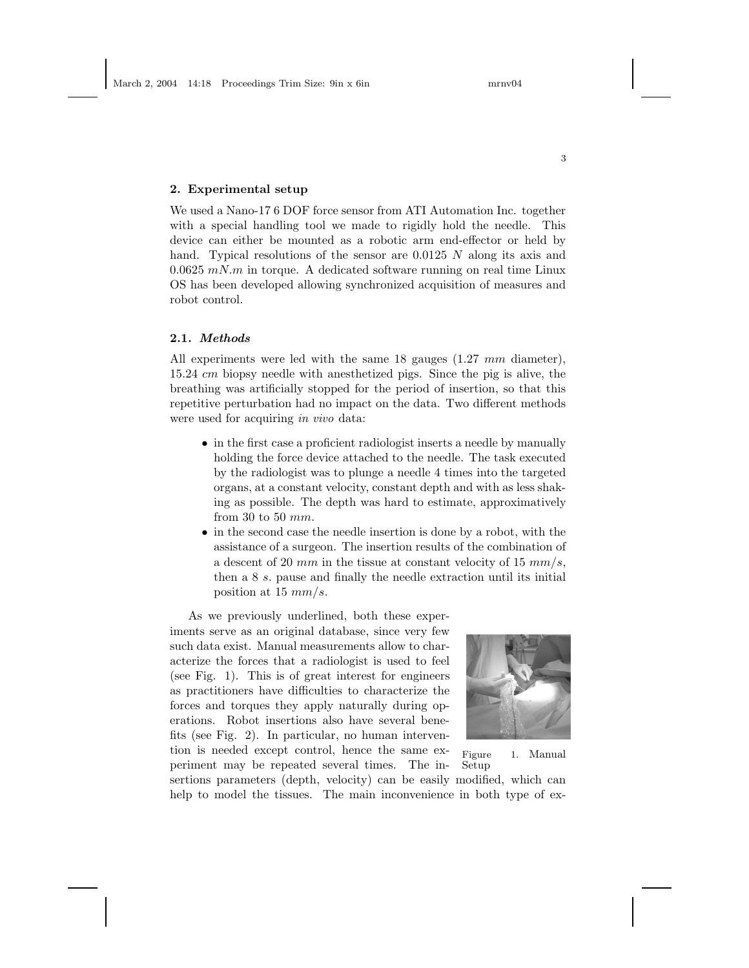## 2. Experimental setup

We used a Nano-17 6 DOF force sensor from ATI Automation Inc. together with a special handling tool we made to rigidly hold the needle. This device can either be mounted as a robotic arm end-effector or held by hand. Typical resolutions of the sensor are  $0.0125$  N along its axis and 0.0625  $mN$  in torque. A dedicated software running on real time Linux OS has been developed allowing synchronized acquisition of measures and robot control.

### 2.1. Methods

All experiments were led with the same 18 gauges  $(1.27 \, mm \, diameter)$ , 15.24 cm biopsy needle with anesthetized pigs. Since the pig is alive, the breathing was artificially stopped for the period of insertion, so that this repetitive perturbation had no impact on the data. Two different methods were used for acquiring *in vivo* data:

- in the first case a proficient radiologist inserts a needle by manually holding the force device attached to the needle. The task executed by the radiologist was to plunge a needle 4 times into the targeted organs, at a constant velocity, constant depth and with as less shaking as possible. The depth was hard to estimate, approximatively from 30 to 50 mm.
- in the second case the needle insertion is done by a robot, with the assistance of a surgeon. The insertion results of the combination of a descent of 20 mm in the tissue at constant velocity of 15  $mm/s$ , then a 8 s. pause and finally the needle extraction until its initial position at 15 mm/s.

As we previously underlined, both these experiments serve as an original database, since very few such data exist. Manual measurements allow to characterize the forces that a radiologist is used to feel (see Fig. 1). This is of great interest for engineers as practitioners have difficulties to characterize the forces and torques they apply naturally during operations. Robot insertions also have several benefits (see Fig. 2). In particular, no human intervention is needed except control, hence the same experiment may be repeated several times. The in-



Figure 1. Manual Setup

sertions parameters (depth, velocity) can be easily modified, which can help to model the tissues. The main inconvenience in both type of ex-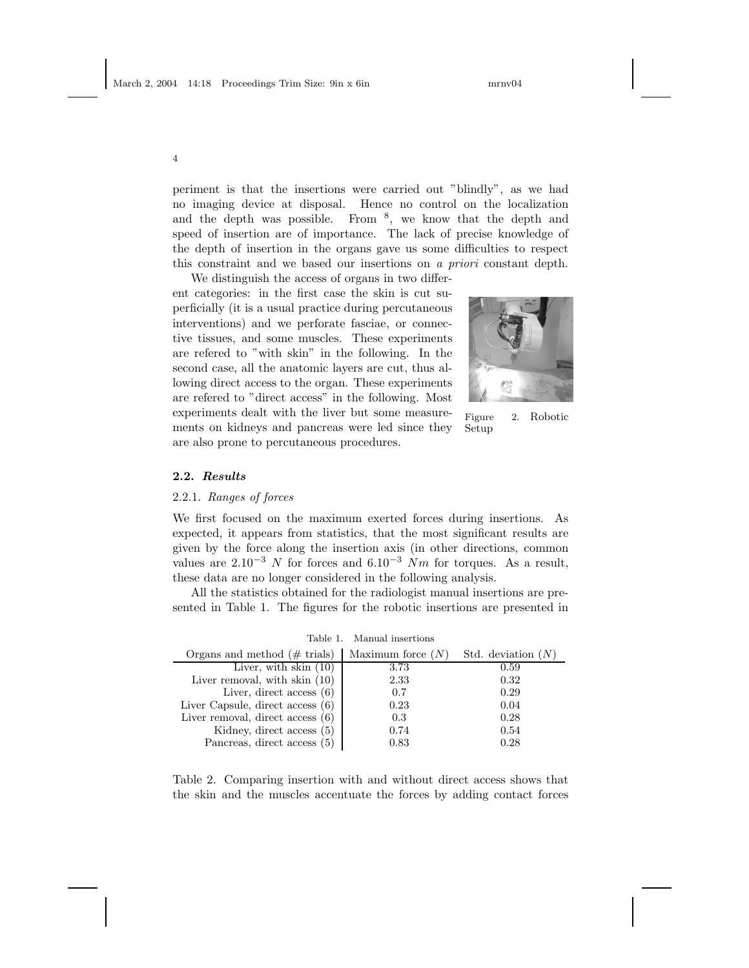periment is that the insertions were carried out "blindly", as we had no imaging device at disposal. Hence no control on the localization and the depth was possible. From  $\frac{8}{3}$ , we know that the depth and speed of insertion are of importance. The lack of precise knowledge of the depth of insertion in the organs gave us some difficulties to respect this constraint and we based our insertions on a priori constant depth.

We distinguish the access of organs in two different categories: in the first case the skin is cut superficially (it is a usual practice during percutaneous interventions) and we perforate fasciae, or connective tissues, and some muscles. These experiments are refered to "with skin" in the following. In the second case, all the anatomic layers are cut, thus allowing direct access to the organ. These experiments are refered to "direct access" in the following. Most experiments dealt with the liver but some measurements on kidneys and pancreas were led since they are also prone to percutaneous procedures.



Figure 2. Robotic Setup

## 2.2. Results

# 2.2.1. Ranges of forces

We first focused on the maximum exerted forces during insertions. As expected, it appears from statistics, that the most significant results are given by the force along the insertion axis (in other directions, common values are  $2.10^{-3}$  N for forces and  $6.10^{-3}$  Nm for torques. As a result, these data are no longer considered in the following analysis.

All the statistics obtained for the radiologist manual insertions are presented in Table 1. The figures for the robotic insertions are presented in

Table 1. Manual insertions

| 1d.0171<br>манцая твет понь                                    |                      |  |
|----------------------------------------------------------------|----------------------|--|
| Organs and method $(\# \text{ trials})$<br>Maximum force $(N)$ | Std. deviation $(N)$ |  |
| 3.73                                                           | 0.59                 |  |
| 2.33                                                           | 0.32                 |  |
| 0.7                                                            | 0.29                 |  |
| 0.23                                                           | 0.04                 |  |
| 0.3                                                            | 0.28                 |  |
| 0.74                                                           | 0.54                 |  |
| 0.83                                                           | 0.28                 |  |
|                                                                |                      |  |

Table 2. Comparing insertion with and without direct access shows that the skin and the muscles accentuate the forces by adding contact forces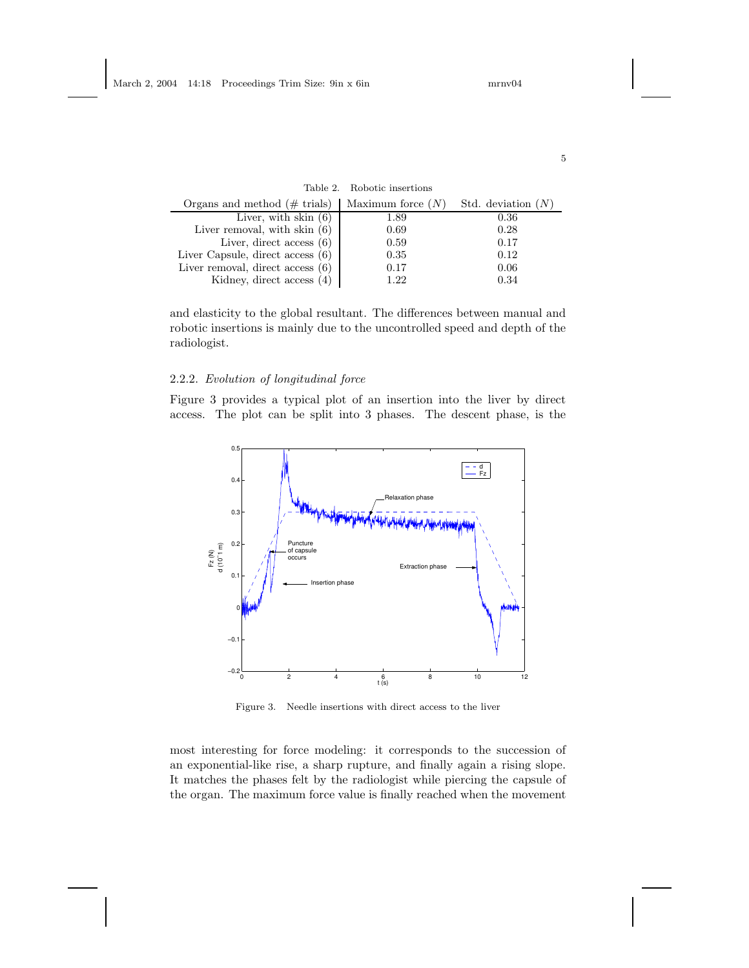| Organs and method $(\# \text{ trials})$ | Maximum force $(N)$ | Std. deviation $(N)$ |
|-----------------------------------------|---------------------|----------------------|
| Liver, with $\sin(6)$                   | 1.89                | 0.36                 |
| Liver removal, with $\sin(6)$           | 0.69                | 0.28                 |
| Liver, direct access $(6)$              | 0.59                | 0.17                 |
| Liver Capsule, direct access $(6)$      | 0.35                | 0.12                 |
| Liver removal, direct access $(6)$      | 0.17                | 0.06                 |
| Kidney, direct access $(4)$             | 1.22                | 0.34                 |

and elasticity to the global resultant. The differences between manual and robotic insertions is mainly due to the uncontrolled speed and depth of the radiologist.

# 2.2.2. Evolution of longitudinal force

Figure 3 provides a typical plot of an insertion into the liver by direct access. The plot can be split into 3 phases. The descent phase, is the



Figure 3. Needle insertions with direct access to the liver

most interesting for force modeling: it corresponds to the succession of an exponential-like rise, a sharp rupture, and finally again a rising slope. It matches the phases felt by the radiologist while piercing the capsule of the organ. The maximum force value is finally reached when the movement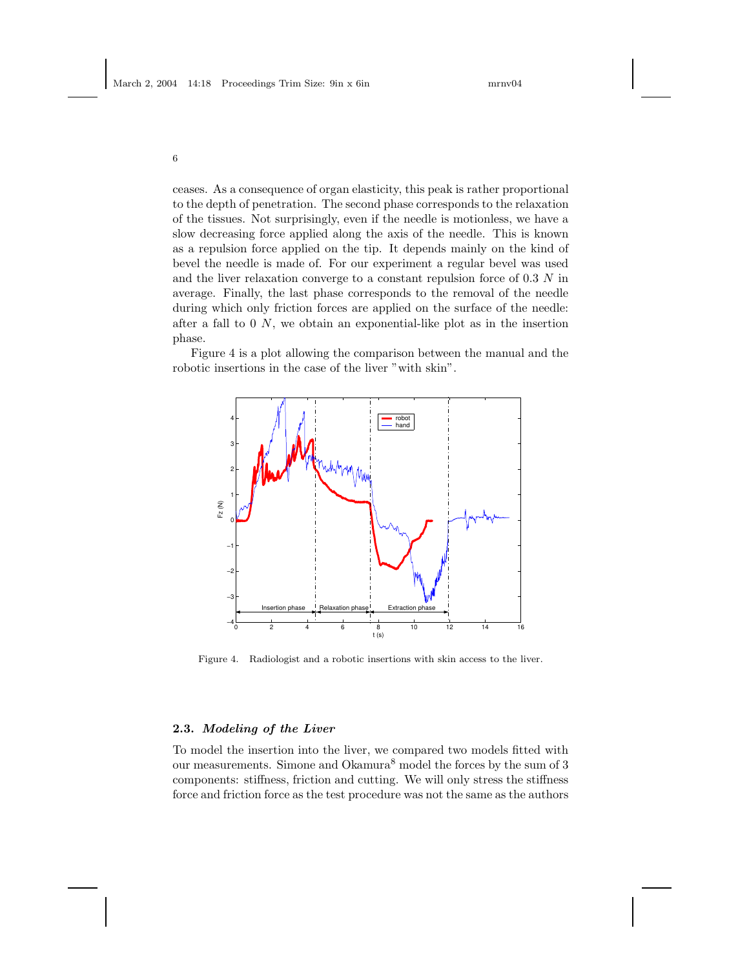ceases. As a consequence of organ elasticity, this peak is rather proportional to the depth of penetration. The second phase corresponds to the relaxation of the tissues. Not surprisingly, even if the needle is motionless, we have a slow decreasing force applied along the axis of the needle. This is known as a repulsion force applied on the tip. It depends mainly on the kind of bevel the needle is made of. For our experiment a regular bevel was used and the liver relaxation converge to a constant repulsion force of 0.3 N in average. Finally, the last phase corresponds to the removal of the needle during which only friction forces are applied on the surface of the needle: after a fall to  $0 \, N$ , we obtain an exponential-like plot as in the insertion phase.

Figure 4 is a plot allowing the comparison between the manual and the robotic insertions in the case of the liver "with skin".



Figure 4. Radiologist and a robotic insertions with skin access to the liver.

# 2.3. Modeling of the Liver

To model the insertion into the liver, we compared two models fitted with our measurements. Simone and Okamura<sup>8</sup> model the forces by the sum of 3 components: stiffness, friction and cutting. We will only stress the stiffness force and friction force as the test procedure was not the same as the authors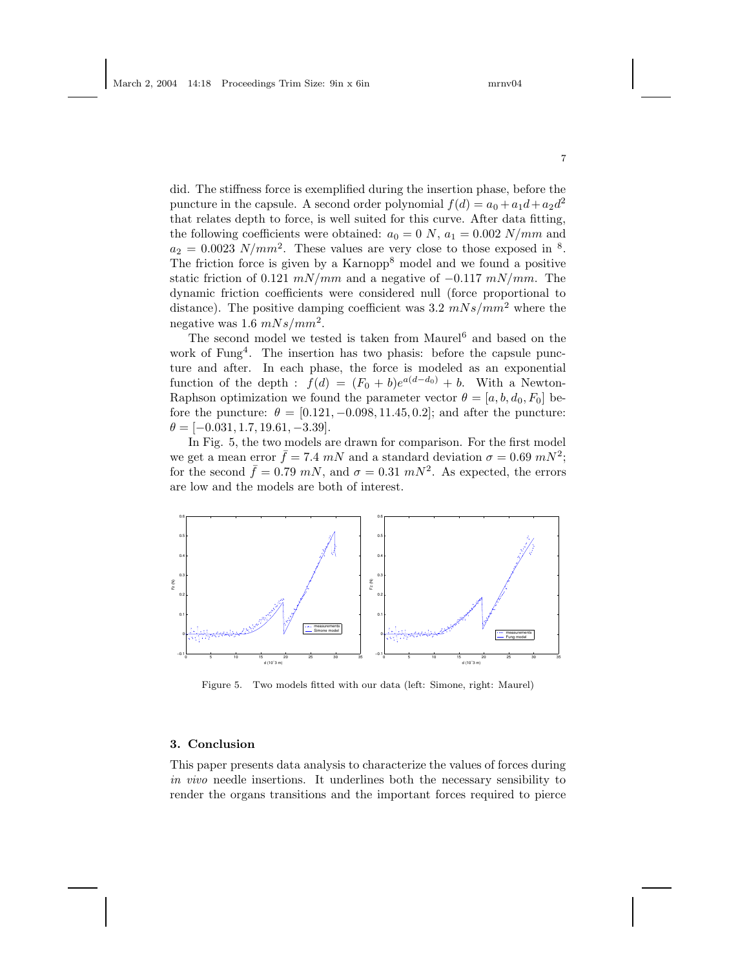did. The stiffness force is exemplified during the insertion phase, before the puncture in the capsule. A second order polynomial  $f(d) = a_0 + a_1d + a_2d^2$ that relates depth to force, is well suited for this curve. After data fitting, the following coefficients were obtained:  $a_0 = 0$  N,  $a_1 = 0.002$  N/mm and  $a_2 = 0.0023 \ N/mm^2$ . These values are very close to those exposed in <sup>8</sup>. The friction force is given by a  $\text{Karnopp}^8$  model and we found a positive static friction of 0.121  $mN/mm$  and a negative of  $-0.117$   $mN/mm$ . The dynamic friction coefficients were considered null (force proportional to distance). The positive damping coefficient was  $3.2 \, mNs/mm^2$  where the negative was 1.6  $mNs/mm^2$ .

The second model we tested is taken from Maurel<sup>6</sup> and based on the work of Fung<sup>4</sup>. The insertion has two phasis: before the capsule puncture and after. In each phase, the force is modeled as an exponential function of the depth :  $f(d) = (F_0 + b)e^{a(d-d_0)} + b$ . With a Newton-Raphson optimization we found the parameter vector  $\theta = [a, b, d_0, F_0]$  before the puncture:  $\theta = [0.121, -0.098, 11.45, 0.2]$ ; and after the puncture:  $\theta = [-0.031, 1.7, 19.61, -3.39].$ 

In Fig. 5, the two models are drawn for comparison. For the first model we get a mean error  $\bar{f} = 7.4$  mN and a standard deviation  $\sigma = 0.69$  mN<sup>2</sup>; for the second  $\bar{f} = 0.79$  mN, and  $\sigma = 0.31$  mN<sup>2</sup>. As expected, the errors are low and the models are both of interest.



Figure 5. Two models fitted with our data (left: Simone, right: Maurel)

## 3. Conclusion

This paper presents data analysis to characterize the values of forces during in vivo needle insertions. It underlines both the necessary sensibility to render the organs transitions and the important forces required to pierce